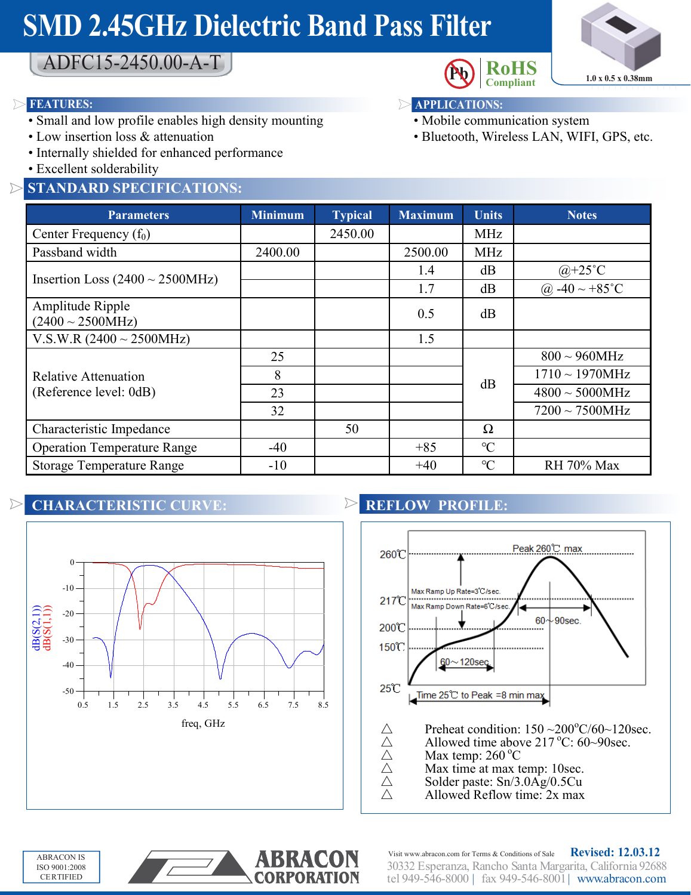# **SMD 2.45GHz Dielectric Band Pass Filter**



ADFC15-2450.00-A-T

#### **FEATURES: APPLICATIONS:**

- Small and low profile enables high density mounting
- Low insertion loss & attenuation
- Internally shielded for enhanced performance
- Excellent solderability

#### **STANDARD SPECIFICATIONS:**



- 
- Mobile communication system
- Bluetooth, Wireless LAN, WIFI, GPS, etc.

| <b>Parameters</b>                              | <b>Minimum</b> | <b>Typical</b> | <b>Maximum</b> | <b>Units</b>    | <b>Notes</b>         |
|------------------------------------------------|----------------|----------------|----------------|-----------------|----------------------|
| Center Frequency $(f_0)$                       |                | 2450.00        |                | <b>MHz</b>      |                      |
| Passband width                                 | 2400.00        |                | 2500.00        | MHz             |                      |
| Insertion Loss $(2400 \sim 2500 MHz)$          |                |                | 1.4            | dB              | $@+25°C$             |
|                                                |                |                | 1.7            | dB              | @ $-40 \sim +85$ °C  |
| Amplitude Ripple<br>$(2400 \sim 2500 MHz)$     |                |                | 0.5            | dB              |                      |
| V.S.W.R $(2400 \sim 2500 MHz)$                 |                |                | 1.5            |                 |                      |
| Relative Attenuation<br>(Reference level: 0dB) | 25             |                |                | dB              | $800 \sim 960 MHz$   |
|                                                | 8              |                |                |                 | $1710 \sim 1970 MHz$ |
|                                                | 23             |                |                |                 | $4800 \sim 5000 MHz$ |
|                                                | 32             |                |                |                 | $7200 \sim 7500$ MHz |
| Characteristic Impedance                       |                | 50             |                | $\Omega$        |                      |
| <b>Operation Temperature Range</b>             | $-40$          |                | $+85$          | $\mathrm{C}$    |                      |
| <b>Storage Temperature Range</b>               | $-10$          |                | $+40$          | $\rm ^{\circ}C$ | <b>RH 70% Max</b>    |

### **CHARACTERISTIC CURVE:**



### **REFLOW PROFILE:**



- 
- $\triangle$  Allowed time above 217 °C: 60~90sec.<br>  $\triangle$  Max temp: 260 °C Allowed time above 217 °C: 6<br>  $\triangle$  Max temp: 260 °C<br>  $\triangle$  Max time at max temp: 10sec.<br>
Solder paste: Sn/3.0Ag/0.5Cu
	- Max temp:  $260^{\circ}$ C
	-
- $\triangle$  Solder paste: Sn/3.0Ag/0.5Cu<br>
Allowed Reflow time: 2x max
	- △ Allowed Reflow time: 2x max





30332 Esperanza, Rancho Santa Margarita, California 92688 tel 949-546-8000 | fax 949-546-8001| www.abracon.com Visit www.abracon.com for Terms & Conditions of Sale **Revised: 12.03.12**